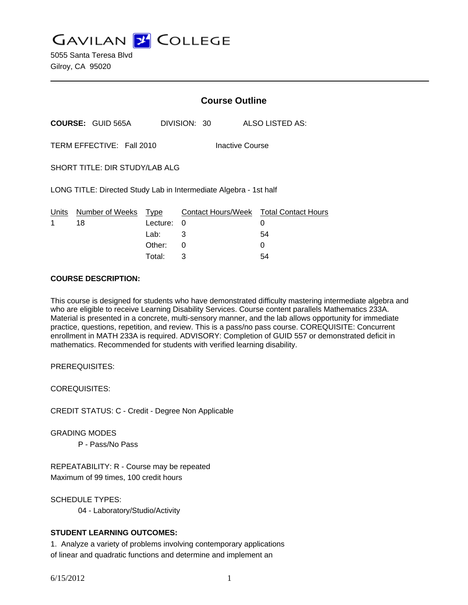**GAVILAN Z COLLEGE** 

5055 Santa Teresa Blvd Gilroy, CA 95020

|                                                                   |                          | <b>Course Outline</b>              |              |  |  |                                                        |
|-------------------------------------------------------------------|--------------------------|------------------------------------|--------------|--|--|--------------------------------------------------------|
|                                                                   | <b>COURSE: GUID 565A</b> |                                    | DIVISION: 30 |  |  | ALSO LISTED AS:                                        |
| TERM EFFECTIVE: Fall 2010<br>Inactive Course                      |                          |                                    |              |  |  |                                                        |
| SHORT TITLE: DIR STUDY/LAB ALG                                    |                          |                                    |              |  |  |                                                        |
| LONG TITLE: Directed Study Lab in Intermediate Algebra - 1st half |                          |                                    |              |  |  |                                                        |
| Units<br>1                                                        | Number of Weeks<br>18    | Type<br>Lecture:<br>Lab:<br>Other: | 0<br>3<br>0  |  |  | Contact Hours/Week Total Contact Hours<br>0<br>54<br>Ω |
|                                                                   |                          |                                    |              |  |  |                                                        |

Total: 3 54

#### **COURSE DESCRIPTION:**

This course is designed for students who have demonstrated difficulty mastering intermediate algebra and who are eligible to receive Learning Disability Services. Course content parallels Mathematics 233A. Material is presented in a concrete, multi-sensory manner, and the lab allows opportunity for immediate practice, questions, repetition, and review. This is a pass/no pass course. COREQUISITE: Concurrent enrollment in MATH 233A is required. ADVISORY: Completion of GUID 557 or demonstrated deficit in mathematics. Recommended for students with verified learning disability.

PREREQUISITES:

COREQUISITES:

CREDIT STATUS: C - Credit - Degree Non Applicable

GRADING MODES

P - Pass/No Pass

REPEATABILITY: R - Course may be repeated Maximum of 99 times, 100 credit hours

SCHEDULE TYPES: 04 - Laboratory/Studio/Activity

#### **STUDENT LEARNING OUTCOMES:**

1. Analyze a variety of problems involving contemporary applications of linear and quadratic functions and determine and implement an

6/15/2012 1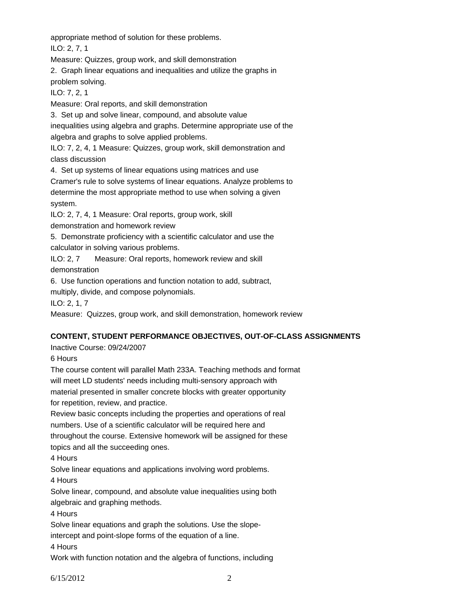appropriate method of solution for these problems.

ILO: 2, 7, 1

Measure: Quizzes, group work, and skill demonstration

2. Graph linear equations and inequalities and utilize the graphs in problem solving.

ILO: 7, 2, 1

Measure: Oral reports, and skill demonstration

3. Set up and solve linear, compound, and absolute value

inequalities using algebra and graphs. Determine appropriate use of the algebra and graphs to solve applied problems.

ILO: 7, 2, 4, 1 Measure: Quizzes, group work, skill demonstration and class discussion

4. Set up systems of linear equations using matrices and use

Cramer's rule to solve systems of linear equations. Analyze problems to

determine the most appropriate method to use when solving a given system.

ILO: 2, 7, 4, 1 Measure: Oral reports, group work, skill

demonstration and homework review

5. Demonstrate proficiency with a scientific calculator and use the calculator in solving various problems.

ILO: 2, 7 Measure: Oral reports, homework review and skill demonstration

6. Use function operations and function notation to add, subtract,

multiply, divide, and compose polynomials.

ILO: 2, 1, 7

Measure: Quizzes, group work, and skill demonstration, homework review

# **CONTENT, STUDENT PERFORMANCE OBJECTIVES, OUT-OF-CLASS ASSIGNMENTS**

Inactive Course: 09/24/2007

6 Hours

The course content will parallel Math 233A. Teaching methods and format will meet LD students' needs including multi-sensory approach with material presented in smaller concrete blocks with greater opportunity for repetition, review, and practice.

Review basic concepts including the properties and operations of real numbers. Use of a scientific calculator will be required here and throughout the course. Extensive homework will be assigned for these topics and all the succeeding ones.

4 Hours

Solve linear equations and applications involving word problems.

4 Hours

Solve linear, compound, and absolute value inequalities using both algebraic and graphing methods.

4 Hours

Solve linear equations and graph the solutions. Use the slope-

intercept and point-slope forms of the equation of a line.

4 Hours

Work with function notation and the algebra of functions, including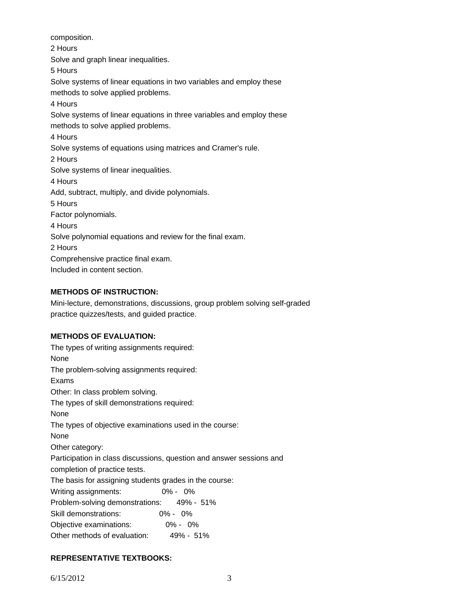composition. 2 Hours Solve and graph linear inequalities. 5 Hours Solve systems of linear equations in two variables and employ these methods to solve applied problems. 4 Hours Solve systems of linear equations in three variables and employ these methods to solve applied problems. 4 Hours Solve systems of equations using matrices and Cramer's rule. 2 Hours Solve systems of linear inequalities. 4 Hours Add, subtract, multiply, and divide polynomials. 5 Hours Factor polynomials. 4 Hours Solve polynomial equations and review for the final exam. 2 Hours Comprehensive practice final exam. Included in content section.

# **METHODS OF INSTRUCTION:**

Mini-lecture, demonstrations, discussions, group problem solving self-graded practice quizzes/tests, and guided practice.

# **METHODS OF EVALUATION:**

The types of writing assignments required: None The problem-solving assignments required: Exams Other: In class problem solving. The types of skill demonstrations required: None The types of objective examinations used in the course: None Other category: Participation in class discussions, question and answer sessions and completion of practice tests. The basis for assigning students grades in the course: Writing assignments: 0% - 0% Problem-solving demonstrations: 49% - 51% Skill demonstrations: 0% - 0% Objective examinations: 0% - 0% Other methods of evaluation: 49% - 51%

# **REPRESENTATIVE TEXTBOOKS:**